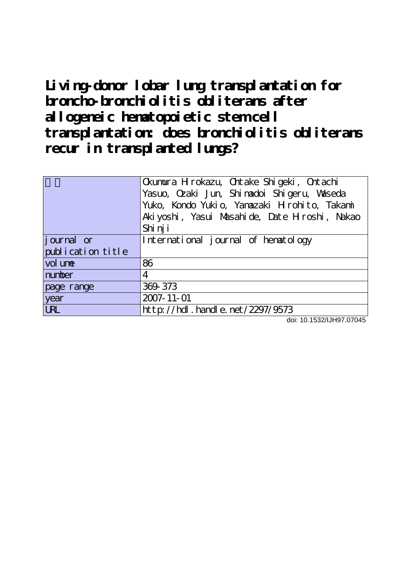**Living-donor lobar lung transplantation for broncho-bronchiolitis obliterans after allogeneic hematopoietic stem cell transplantation: does bronchiolitis obliterans recur in transplanted lungs?**

|                   | Ckumura H rokazu, Chtake Shigeki, Chtachi    |
|-------------------|----------------------------------------------|
|                   | Yasuo, Ozaki Jun, Shinadoi Shigeru, Waseda   |
|                   | Yuko, Kondo Yukio, Yanazaki Hirohito, Takami |
|                   | Akiyoshi, Yasui Masahide, Date Hroshi, Nakao |
|                   | Shi nj i                                     |
| journal or        | International journal of hematology          |
| publication title |                                              |
| vol une           | 86                                           |
| number            | 4                                            |
| page range        | 369-373                                      |
| year              | 2007-11-01                                   |
| <b>URL</b>        | http://hdl.handle.net/2297/9573              |

doi: 10.1532/IJH97.07045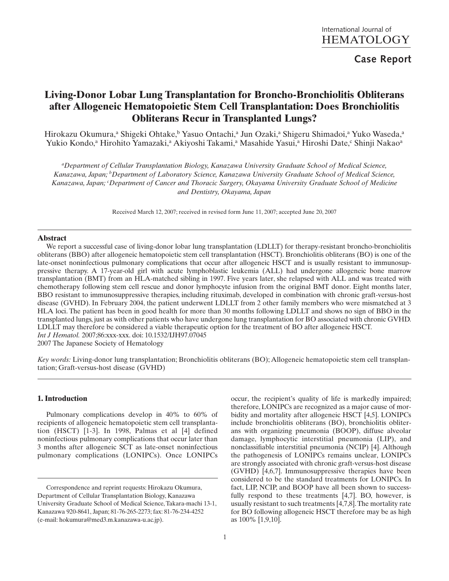# **Case Report**

# **Living-Donor Lobar Lung Transplantation for Broncho-Bronchiolitis Obliterans after Allogeneic Hematopoietic Stem Cell Transplantation: Does Bronchiolitis Obliterans Recur in Transplanted Lungs?**

Hirokazu Okumura,<sup>a</sup> Shigeki Ohtake,<sup>b</sup> Yasuo Ontachi,<sup>a</sup> Jun Ozaki,<sup>a</sup> Shigeru Shimadoi,<sup>a</sup> Yuko Waseda,<sup>a</sup> Yukio Kondo,<sup>a</sup> Hirohito Yamazaki,<sup>a</sup> Akiyoshi Takami,<sup>a</sup> Masahide Yasui,<sup>a</sup> Hiroshi Date,<sup>c</sup> Shinji Nakao<sup>a</sup>

*a Department of Cellular Transplantation Biology, Kanazawa University Graduate School of Medical Science, Kanazawa, Japan; bDepartment of Laboratory Science, Kanazawa University Graduate School of Medical Science, Kanazawa, Japan; <sup>c</sup> Department of Cancer and Thoracic Surgery, Okayama University Graduate School of Medicine and Dentistry, Okayama, Japan*

Received March 12, 2007; received in revised form June 11, 2007; accepted June 20, 2007

### **Abstract**

We report a successful case of living-donor lobar lung transplantation (LDLLT) for therapy-resistant broncho-bronchiolitis obliterans (BBO) after allogeneic hematopoietic stem cell transplantation (HSCT). Bronchiolitis obliterans (BO) is one of the late-onset noninfectious pulmonary complications that occur after allogeneic HSCT and is usually resistant to immunosuppressive therapy. A 17-year-old girl with acute lymphoblastic leukemia (ALL) had undergone allogeneic bone marrow transplantation (BMT) from an HLA-matched sibling in 1997. Five years later, she relapsed with ALL and was treated with chemotherapy following stem cell rescue and donor lymphocyte infusion from the original BMT donor. Eight months later, BBO resistant to immunosuppressive therapies, including rituximab, developed in combination with chronic graft-versus-host disease (GVHD). In February 2004, the patient underwent LDLLT from 2 other family members who were mismatched at 3 HLA loci. The patient has been in good health for more than 30 months following LDLLT and shows no sign of BBO in the transplanted lungs, just as with other patients who have undergone lung transplantation for BO associated with chronic GVHD. LDLLT may therefore be considered a viable therapeutic option for the treatment of BO after allogeneic HSCT. *Int J Hematol.* 2007;86:xxx-xxx. doi: 10.1532/IJH97.07045

2007 The Japanese Society of Hematology

*Key words:* Living-donor lung transplantation; Bronchiolitis obliterans (BO); Allogeneic hematopoietic stem cell transplantation; Graft-versus-host disease (GVHD)

### **1. Introduction**

Pulmonary complications develop in 40% to 60% of recipients of allogeneic hematopoietic stem cell transplantation (HSCT) [1-3]. In 1998, Palmas et al [4] defined noninfectious pulmonary complications that occur later than 3 months after allogeneic SCT as late-onset noninfectious pulmonary complications (LONIPCs). Once LONIPCs occur, the recipient's quality of life is markedly impaired; therefore, LONIPCs are recognized as a major cause of morbidity and mortality after allogeneic HSCT [4,5]. LONIPCs include bronchiolitis obliterans (BO), bronchiolitis obliterans with organizing pneumonia (BOOP), diffuse alveolar damage, lymphocytic interstitial pneumonia (LIP), and nonclassifiable interstitial pneumonia (NCIP) [4]. Although the pathogenesis of LONIPCs remains unclear, LONIPCs are strongly associated with chronic graft-versus-host disease (GVHD) [4,6,7]. Immunosuppressive therapies have been considered to be the standard treatments for LONIPCs. In fact, LIP, NCIP, and BOOP have all been shown to successfully respond to these treatments [4,7]. BO, however, is usually resistant to such treatments [4,7,8].The mortality rate for BO following allogeneic HSCT therefore may be as high as 100% [1,9,10].

Correspondence and reprint requests: Hirokazu Okumura, Department of Cellular Transplantation Biology, Kanazawa University Graduate School of Medical Science, Takara-machi 13-1, Kanazawa 920-8641, Japan; 81-76-265-2273; fax: 81-76-234-4252 (e-mail: hokumura@med3.m.kanazawa-u.ac.jp).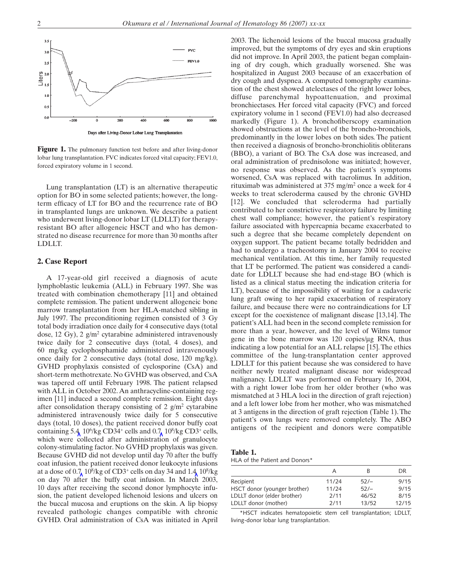

Figure 1. The pulmonary function test before and after living-donor lobar lung transplantation. FVC indicates forced vital capacity; FEV1.0, forced expiratory volume in 1 second.

Lung transplantation (LT) is an alternative therapeutic option for BO in some selected patients; however, the longterm efficacy of LT for BO and the recurrence rate of BO in transplanted lungs are unknown. We describe a patient who underwent living-donor lobar LT (LDLLT) for therapyresistant BO after allogeneic HSCT and who has demonstrated no disease recurrence for more than 30 months after LDLLT.

## **2. Case Report**

A 17-year-old girl received a diagnosis of acute lymphoblastic leukemia (ALL) in February 1997. She was treated with combination chemotherapy [11] and obtained complete remission. The patient underwent allogeneic bone marrow transplantation from her HLA-matched sibling in July 1997. The preconditioning regimen consisted of 3 Gy total body irradiation once daily for 4 consecutive days (total dose, 12 Gy), 2  $g/m^2$  cytarabine administered intravenously twice daily for 2 consecutive days (total, 4 doses), and 60 mg/kg cyclophosphamide administered intravenously once daily for 2 consecutive days (total dose, 120 mg/kg). GVHD prophylaxis consisted of cyclosporine (CsA) and short-term methotrexate. No GVHD was observed, and CsA was tapered off until February 1998. The patient relapsed with ALL in October 2002. An anthracycline-containing regimen [11] induced a second complete remission. Eight days after consolidation therapy consisting of 2  $g/m^2$  cytarabine administered intravenously twice daily for 5 consecutive days (total, 10 doses), the patient received donor buffy coat containing 5.4,  $10^6$ /kg CD34<sup>+</sup> cells and 0.7,  $10^8$ /kg CD3<sup>+</sup> cells, which were collected after administration of granulocyte colony-stimulating factor. No GVHD prophylaxis was given. Because GVHD did not develop until day 70 after the buffy coat infusion, the patient received donor leukocyte infusions at a dose of  $0.7/10^8$ /kg of CD3<sup>+</sup> cells on day 34 and 1.4  $10^8$ /kg on day 70 after the buffy coat infusion. In March 2003, 10 days after receiving the second donor lymphocyte infusion, the patient developed lichenoid lesions and ulcers on the buccal mucosa and eruptions on the skin. A lip biopsy revealed pathologic changes compatible with chronic GVHD. Oral administration of CsA was initiated in April 2003. The lichenoid lesions of the buccal mucosa gradually improved, but the symptoms of dry eyes and skin eruptions did not improve. In April 2003, the patient began complaining of dry cough, which gradually worsened. She was hospitalized in August 2003 because of an exacerbation of dry cough and dyspnea. A computed tomography examination of the chest showed atelectases of the right lower lobes, diffuse parenchymal hypoattenuation, and proximal bronchiectases. Her forced vital capacity (FVC) and forced expiratory volume in 1 second (FEV1.0) had also decreased markedly (Figure 1). A bronchofiberscopy examination showed obstructions at the level of the broncho-bronchiols, predominantly in the lower lobes on both sides. The patient then received a diagnosis of broncho-bronchiolitis obliterans (BBO), a variant of BO. The CsA dose was increased, and oral administration of prednisolone was initiated; however, no response was observed. As the patient's symptoms worsened, CsA was replaced with tacrolimus. In addition, rituximab was administered at 375 mg/m2 once a week for 4 weeks to treat scleroderma caused by the chronic GVHD [12]. We concluded that scleroderma had partially contributed to her constrictive respiratory failure by limiting chest wall compliance; however, the patient's respiratory failure associated with hypercapnia became exacerbated to such a degree that she became completely dependent on oxygen support. The patient became totally bedridden and had to undergo a tracheostomy in January 2004 to receive mechanical ventilation. At this time, her family requested that LT be performed. The patient was considered a candidate for LDLLT because she had end-stage BO (which is listed as a clinical status meeting the indication criteria for LT), because of the impossibility of waiting for a cadaveric lung graft owing to her rapid exacerbation of respiratory failure, and because there were no contraindications for LT except for the coexistence of malignant disease [13,14]. The patient's ALL had been in the second complete remission for more than a year, however, and the level of Wilms tumor gene in the bone marrow was 120 copies/μg RNA, thus indicating a low potential for an ALL relapse [15].The ethics committee of the lung-transplantation center approved LDLLT for this patient because she was considered to have neither newly treated malignant disease nor widespread malignancy. LDLLT was performed on February 16, 2004, with a right lower lobe from her older brother (who was mismatched at 3 HLA loci in the direction of graft rejection) and a left lower lobe from her mother, who was mismatched at 3 antigens in the direction of graft rejection (Table 1). The patient's own lungs were removed completely. The ABO antigens of the recipient and donors were compatible

**Table 1.** HLA of the Patient and Donors\*

|                              | A     | к      | DR    |
|------------------------------|-------|--------|-------|
| Recipient                    | 11/24 | $52/-$ | 9/15  |
| HSCT donor (younger brother) | 11/24 | $52/-$ | 9/15  |
| LDLLT donor (elder brother)  | 2/11  | 46/52  | 8/15  |
| LDLLT donor (mother)         | 2/11  | 13/52  | 12/15 |

\*HSCT indicates hematopoietic stem cell transplantation; LDLLT, living-donor lobar lung transplantation.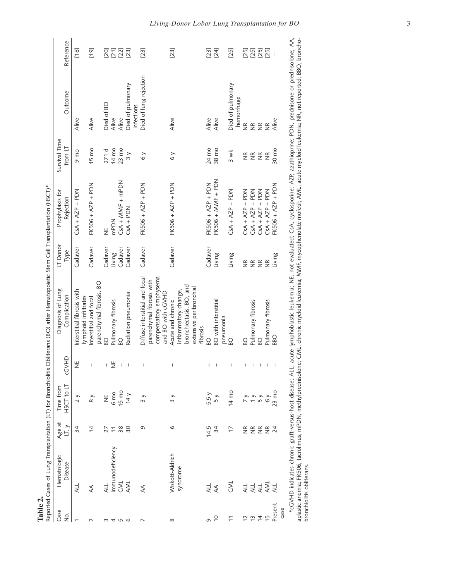| Table 2.        |                                                                                       |                          |                         |                | Reported Cases of Lung Transplantation (LT) for Bronchiolitis Obliterans (BO) after Hematopoietic Stem Cell Transplantation (HSCT)*                                                                                                                                                                                  |                   |                              |                          |                                 |           |
|-----------------|---------------------------------------------------------------------------------------|--------------------------|-------------------------|----------------|----------------------------------------------------------------------------------------------------------------------------------------------------------------------------------------------------------------------------------------------------------------------------------------------------------------------|-------------------|------------------------------|--------------------------|---------------------------------|-----------|
| Case<br>δ.      | Hematologic<br>Disease                                                                | Age at<br>LT, y          | HSCT to LT<br>Time from | <b>GNAD</b>    | Diagnosis of Lung<br>Complication                                                                                                                                                                                                                                                                                    | LT Donor<br>Type  | Prophylaxis for<br>Rejection | Survival Time<br>from LT | Outcome                         | Reference |
| $\overline{ }$  | ALL                                                                                   | 34                       | $\frac{1}{2}$           | $\overline{z}$ | nterstitial fibrosis with<br>lymphoid infiltrates                                                                                                                                                                                                                                                                    | Cadaver           | $CSA + AZP + PDN$            | 9 mo                     | Alive                           | $[18]$    |
| $\sim$          | $\mathbb{A}$                                                                          | $\overline{4}$           | $_{\rm 8}$ $\times$     | $^{+}$         | parenchymal fibrosis, BO<br>nterstitial and focal                                                                                                                                                                                                                                                                    | Cadaver           | FK506 + AZP + PDN            | 15 mo                    | Alive                           | [19]      |
| S               | <b>ALL</b>                                                                            | 27                       | $\overline{z}$          | $^+$           | B <sub>O</sub>                                                                                                                                                                                                                                                                                                       | Cadaver           | Ψ                            | 271d                     | Died of BO                      |           |
|                 | Immunodeficiency                                                                      | $\overline{\phantom{0}}$ | 6 mo                    | $\breve{=}$    | Pulmonary fibrosis                                                                                                                                                                                                                                                                                                   | Living            | mPDN                         | 14 mo                    | Alive                           |           |
| 456             | CML                                                                                   | 38                       | $15 \text{ mo}$         | $^{+}$         | $\overline{6}$                                                                                                                                                                                                                                                                                                       | Cadaver           | CsA + MMF + mPDN             | $23 \text{ mo}$          | Alive                           |           |
|                 | AML                                                                                   | $\overline{30}$          | 14 y                    | I              | Radiation pneumonia                                                                                                                                                                                                                                                                                                  | Cadaver           | $CSA + PDN$                  | $\overline{3}$           | Died of pulmonary<br>infections |           |
| $\overline{ }$  | ₹                                                                                     | G                        | $\overline{3}$          | $^{+}$         | Diffuse interstitial and focal                                                                                                                                                                                                                                                                                       | Cadaver           | FK506 + AZP + PDN            | $\delta$ $\times$        | Died of lung rejection          | [23]      |
|                 |                                                                                       |                          |                         |                | compensatory emphysema<br>parenchymal fibrosis with<br>and BO with cGVHD                                                                                                                                                                                                                                             |                   |                              |                          |                                 |           |
| $\infty$        | Wiskott-Aldrich                                                                       | O                        | $\frac{1}{3}$           | $\ddot{}$      | Acute and chronic                                                                                                                                                                                                                                                                                                    | Cadaver           | FK506 + AZP + PDN            | 6y                       | Alive                           | [23]      |
|                 | syndrome                                                                              |                          |                         |                | bronchiectasis, BO, and<br>extensive peribronchial<br>inflammatory change,<br>fibrosis                                                                                                                                                                                                                               |                   |                              |                          |                                 |           |
| c)              | <b>ALL</b>                                                                            | 14.5                     | 5.5 y                   | $^+$           | <b>D</b>                                                                                                                                                                                                                                                                                                             | Cadaver           | FK506 + AZP + PDN            | 24 mo                    | Alive                           | [23]      |
| $\overline{C}$  | $\rightsquigarrow$                                                                    | 34                       | 5 y                     | $^{+}$         | <b>BO</b> with interstitial<br>pneumonia                                                                                                                                                                                                                                                                             | Living            | $FK506 + MMF + PDN$          | 38 mo                    | Alive                           | [24]      |
|                 | <b>NS</b>                                                                             | $\overline{1}$           | 14 mo                   | $\,^+$         | B <sub>O</sub>                                                                                                                                                                                                                                                                                                       | Living            | $CSA + AZP + PDN$            | 3 wk                     | Died of pulmonary<br>hemorrhage | [25]      |
| $\tilde{c}$     | ALL                                                                                   | $\frac{\alpha}{2}$       | $\frac{1}{2}$           | $^{+}$         | <b>D</b>                                                                                                                                                                                                                                                                                                             | $\widetilde{\Xi}$ | $CSA + AZP + PDN$            | $\frac{\alpha}{2}$       | $\frac{\alpha}{\alpha}$         | [25]      |
| $\frac{1}{2}$   | ALL                                                                                   | $\frac{\alpha}{\alpha}$  | $\rightarrow$           | I              | Pulmonary fibrosis                                                                                                                                                                                                                                                                                                   |                   | $CSA + AZP + PDN$            | $\widetilde{\Xi}$        | $\widetilde{\Xi}$               | [25]      |
| $\overline{4}$  | ALL                                                                                   | $\widetilde{\Xi}$        | 5 y                     | $^{+}$         | <b>DS</b>                                                                                                                                                                                                                                                                                                            | $E \n\t\cong$     | $CSA + AZP + PDN$            | $\widetilde{\Xi}$        | $\widetilde{\Xi}$               | [25]      |
| 15              | AML                                                                                   | $\widetilde{\Xi}$        | $\delta y$              | $^{+}$         | Pulmonary fibrosis                                                                                                                                                                                                                                                                                                   | $\widetilde{\Xi}$ | $CSA + AZP + PDN$            | $\frac{\alpha}{2}$       | $\frac{\alpha}{2}$              | [25]      |
| Present<br>case |                                                                                       | 24                       | $23 \text{ mo}$         | $\ddot{}$      | <b>DBS</b>                                                                                                                                                                                                                                                                                                           | Living            | FK506 + AZP + PDN            | 30 mo                    | Alive                           |           |
|                 | *cGVHD indicates chronic graft-versus-host disease; ALL,<br>bronchiolitis obliterans. |                          |                         |                | acute lymphoblastic leukemia; NE, not evaluated; CsA, cyclosporine; AZP, azathioprine; PDN, prednisone or prednisolone; AA,<br>aplastic anemia; FK506, tacrolimus; mPDN, methylprednisolone; CML, chronic myeloid leukemia; MMF, mycophenolate mofetil; AML, acute myeloid leukemia; NR, not reported; BBO, broncho- |                   |                              |                          |                                 |           |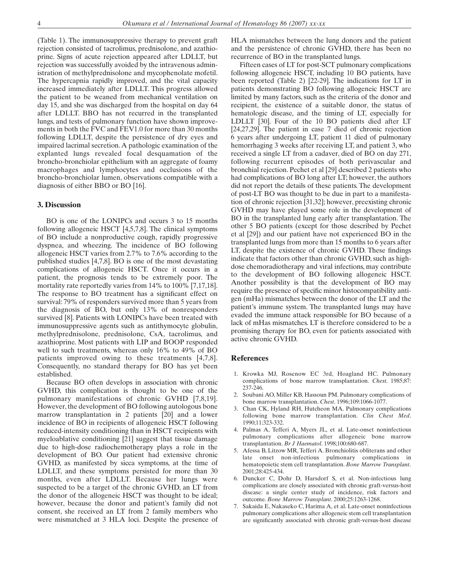(Table 1). The immunosuppressive therapy to prevent graft rejection consisted of tacrolimus, prednisolone, and azathioprine. Signs of acute rejection appeared after LDLLT, but rejection was successfully avoided by the intravenous administration of methylprednisolone and mycophenolate mofetil. The hypercapnia rapidly improved, and the vital capacity increased immediately after LDLLT. This progress allowed the patient to be weaned from mechanical ventilation on day 15, and she was discharged from the hospital on day 64 after LDLLT. BBO has not recurred in the transplanted lungs, and tests of pulmonary function have shown improvements in both the FVC and FEV1.0 for more than 30 months following LDLLT, despite the persistence of dry eyes and impaired lacrimal secretion.A pathologic examination of the explanted lungs revealed focal desquamation of the broncho-bronchiolar epithelium with an aggregate of foamy macrophages and lymphocytes and occlusions of the broncho-bronchiolar lumen, observations compatible with a diagnosis of either BBO or BO [16].

#### **3. Discussion**

BO is one of the LONIPCs and occurs 3 to 15 months following allogeneic HSCT [4,5,7,8]. The clinical symptoms of BO include a nonproductive cough, rapidly progressive dyspnea, and wheezing. The incidence of BO following allogeneic HSCT varies from 2.7% to 7.6% according to the published studies [4,7,8]. BO is one of the most devastating complications of allogeneic HSCT. Once it occurs in a patient, the prognosis tends to be extremely poor. The mortality rate reportedly varies from 14% to 100% [7,17,18]. The response to BO treatment has a significant effect on survival: 79% of responders survived more than 5 years from the diagnosis of BO, but only 13% of nonresponders survived [8]. Patients with LONIPCs have been treated with immunosuppressive agents such as antithymocyte globulin, methylprednisolone, prednisolone, CsA, tacrolimus, and azathioprine. Most patients with LIP and BOOP responded well to such treatments, whereas only 16% to 49% of BO patients improved owing to these treatments [4,7,8]. Consequently, no standard therapy for BO has yet been established.

Because BO often develops in association with chronic GVHD, this complication is thought to be one of the pulmonary manifestations of chronic GVHD [7,8,19]. However, the development of BO following autologous bone marrow transplantation in 2 patients [20] and a lower incidence of BO in recipients of allogeneic HSCT following reduced-intensity conditioning than in HSCT recipients with myeloablative conditioning [21] suggest that tissue damage due to high-dose radiochemotherapy plays a role in the development of BO. Our patient had extensive chronic GVHD, as manifested by sicca symptoms, at the time of LDLLT, and these symptoms persisted for more than 30 months, even after LDLLT. Because her lungs were suspected to be a target of the chronic GVHD, an LT from the donor of the allogeneic HSCT was thought to be ideal; however, because the donor and patient's family did not consent, she received an LT from 2 family members who were mismatched at 3 HLA loci. Despite the presence of

HLA mismatches between the lung donors and the patient and the persistence of chronic GVHD, there has been no recurrence of BO in the transplanted lungs.

Fifteen cases of LT for post-SCT pulmonary complications following allogeneic HSCT, including 10 BO patients, have been reported (Table 2) [22-29]. The indications for LT in patients demonstrating BO following allogeneic HSCT are limited by many factors, such as the criteria of the donor and recipient, the existence of a suitable donor, the status of hematologic disease, and the timing of LT, especially for LDLLT [30]. Four of the 10 BO patients died after LT [24,27,29]. The patient in case 7 died of chronic rejection 6 years after undergoing LT, patient 11 died of pulmonary hemorrhaging 3 weeks after receiving LT, and patient 3, who received a single LT from a cadaver, died of BO on day 271, following recurrent episodes of both perivascular and bronchial rejection. Pechet et al [29] described 2 patients who had complications of BO long after LT; however, the authors did not report the details of these patients. The development of post-LT BO was thought to be due in part to a manifestation of chronic rejection [31,32]; however, preexisting chronic GVHD may have played some role in the development of BO in the transplanted lung early after transplantation. The other 5 BO patients (except for those described by Pechet et al [29]) and our patient have not experienced BO in the transplanted lungs from more than 15 months to 6 years after LT, despite the existence of chronic GVHD. These findings indicate that factors other than chronic GVHD, such as highdose chemoradiotherapy and viral infections, may contribute to the development of BO following allogeneic HSCT. Another possibility is that the development of BO may require the presence of specific minor histocompatibility antigen (mHa) mismatches between the donor of the LT and the patient's immune system. The transplanted lungs may have evaded the immune attack responsible for BO because of a lack of mHas mismatches. LT is therefore considered to be a promising therapy for BO, even for patients associated with active chronic GVHD.

#### **References**

- 1. Krowka MJ, Rosenow EC 3rd, Hoagland HC. Pulmonary complications of bone marrow transplantation. *Chest*. 1985;87: 237-246.
- 2. Soubani AO, Miller KB, Hassoun PM. Pulmonary complications of bone marrow transplantation. *Chest*. 1996;109:1066-1077.
- 3. Chan CK, Hyland RH, Hutcheon MA. Pulmonary complications following bone marrow transplantation. *Clin Chest Med*. 1990;11:323-332.
- 4. Palmas A, Tefferi A, Myers JL, et al. Late-onset noninfectious pulmonary complications after allogeneic bone marrow transplantation. *Br J Haematol*. 1998;100:680-687.
- 5. Afessa B, Litzow MR, Tefferi A. Bronchiolitis obliterans and other late onset non-infectious pulmonary complications in hematopoietic stem cell transplantation. *Bone Marrow Transplant*. 2001;28:425-434.
- 6. Duncker C, Dohr D, Harsdorf S, et al. Non-infectious lung complications are closely associated with chronic graft-versus-host disease: a single center study of incidence, risk factors and outcome. *Bone Marrow Transplant*. 2000;25:1263-1268.
- 7. Sakaida E, Nakaseko C, Harima A, et al. Late-onset noninfectious pulmonary complications after allogeneic stem cell transplantation are significantly associated with chronic graft-versus-host disease